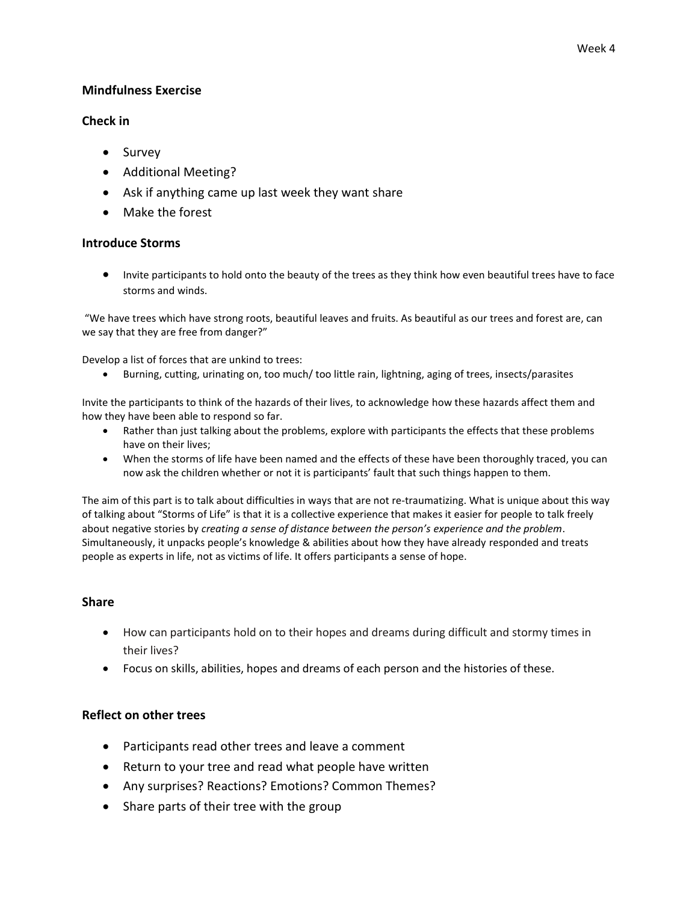### **Mindfulness Exercise**

### **Check in**

- Survey
- Additional Meeting?
- Ask if anything came up last week they want share
- Make the forest

### **Introduce Storms**

 Invite participants to hold onto the beauty of the trees as they think how even beautiful trees have to face storms and winds.

"We have trees which have strong roots, beautiful leaves and fruits. As beautiful as our trees and forest are, can we say that they are free from danger?"

Develop a list of forces that are unkind to trees:

Burning, cutting, urinating on, too much/ too little rain, lightning, aging of trees, insects/parasites

Invite the participants to think of the hazards of their lives, to acknowledge how these hazards affect them and how they have been able to respond so far.

- Rather than just talking about the problems, explore with participants the effects that these problems have on their lives;
- When the storms of life have been named and the effects of these have been thoroughly traced, you can now ask the children whether or not it is participants' fault that such things happen to them.

The aim of this part is to talk about difficulties in ways that are not re-traumatizing. What is unique about this way of talking about "Storms of Life" is that it is a collective experience that makes it easier for people to talk freely about negative stories by *creating a sense of distance between the person's experience and the problem*. Simultaneously, it unpacks people's knowledge & abilities about how they have already responded and treats people as experts in life, not as victims of life. It offers participants a sense of hope.

#### **Share**

- How can participants hold on to their hopes and dreams during difficult and stormy times in their lives?
- Focus on skills, abilities, hopes and dreams of each person and the histories of these.

#### **Reflect on other trees**

- Participants read other trees and leave a comment
- Return to your tree and read what people have written
- Any surprises? Reactions? Emotions? Common Themes?
- Share parts of their tree with the group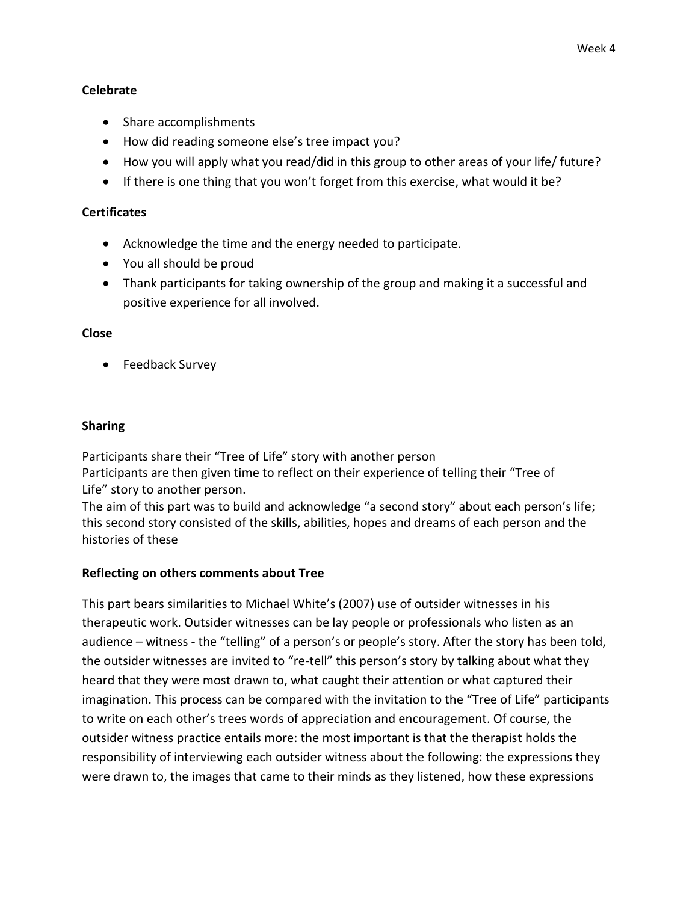## **Celebrate**

- Share accomplishments
- How did reading someone else's tree impact you?
- How you will apply what you read/did in this group to other areas of your life/ future?
- If there is one thing that you won't forget from this exercise, what would it be?

## **Certificates**

- Acknowledge the time and the energy needed to participate.
- You all should be proud
- Thank participants for taking ownership of the group and making it a successful and positive experience for all involved.

### **Close**

• Feedback Survey

# **Sharing**

Participants share their "Tree of Life" story with another person Participants are then given time to reflect on their experience of telling their "Tree of Life" story to another person.

The aim of this part was to build and acknowledge "a second story" about each person's life; this second story consisted of the skills, abilities, hopes and dreams of each person and the histories of these

# **Reflecting on others comments about Tree**

This part bears similarities to Michael White's (2007) use of outsider witnesses in his therapeutic work. Outsider witnesses can be lay people or professionals who listen as an audience – witness - the "telling" of a person's or people's story. After the story has been told, the outsider witnesses are invited to "re-tell" this person's story by talking about what they heard that they were most drawn to, what caught their attention or what captured their imagination. This process can be compared with the invitation to the "Tree of Life" participants to write on each other's trees words of appreciation and encouragement. Of course, the outsider witness practice entails more: the most important is that the therapist holds the responsibility of interviewing each outsider witness about the following: the expressions they were drawn to, the images that came to their minds as they listened, how these expressions